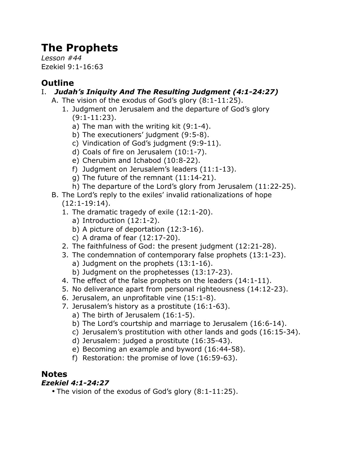# **The Prophets**

*Lesson #44* Ezekiel 9:1-16:63

# **Outline**

#### I. *Judah's Iniquity And The Resulting Judgment (4:1-24:27)*

- A. The vision of the exodus of God's glory (8:1-11:25).
	- 1. Judgment on Jerusalem and the departure of God's glory (9:1-11:23).
		- a) The man with the writing kit (9:1-4).
		- b) The executioners' judgment (9:5-8).
		- c) Vindication of God's judgment (9:9-11).
		- d) Coals of fire on Jerusalem (10:1-7).
		- e) Cherubim and Ichabod (10:8-22).
		- f) Judgment on Jerusalem's leaders (11:1-13).
		- g) The future of the remnant (11:14-21).
		- h) The departure of the Lord's glory from Jerusalem (11:22-25).
- B. The Lord's reply to the exiles' invalid rationalizations of hope (12:1-19:14).
	- 1. The dramatic tragedy of exile (12:1-20).
		- a) Introduction (12:1-2).
		- b) A picture of deportation (12:3-16).
		- c) A drama of fear (12:17-20).
	- 2. The faithfulness of God: the present judgment (12:21-28).
	- 3. The condemnation of contemporary false prophets (13:1-23).
		- a) Judgment on the prophets (13:1-16).
		- b) Judgment on the prophetesses (13:17-23).
	- 4. The effect of the false prophets on the leaders (14:1-11).
	- 5. No deliverance apart from personal righteousness (14:12-23).
	- 6. Jerusalem, an unprofitable vine (15:1-8).
	- 7. Jerusalem's history as a prostitute (16:1-63).
		- a) The birth of Jerusalem (16:1-5).
		- b) The Lord's courtship and marriage to Jerusalem (16:6-14).
		- c) Jerusalem's prostitution with other lands and gods (16:15-34).
		- d) Jerusalem: judged a prostitute (16:35-43).
		- e) Becoming an example and byword (16:44-58).
		- f) Restoration: the promise of love (16:59-63).

## **Notes**

## *Ezekiel 4:1-24:27*

• The vision of the exodus of God's glory (8:1-11:25).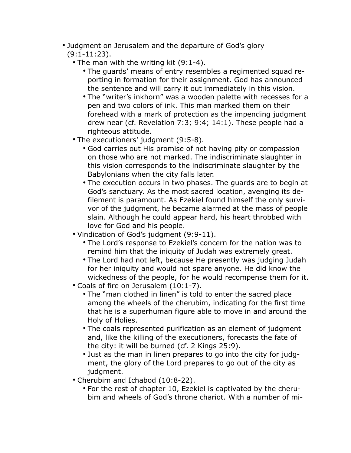- Judgment on Jerusalem and the departure of God's glory (9:1-11:23).
	- The man with the writing kit (9:1-4).
		- The guards' means of entry resembles a regimented squad reporting in formation for their assignment. God has announced the sentence and will carry it out immediately in this vision.
		- The "writer's inkhorn" was a wooden palette with recesses for a pen and two colors of ink. This man marked them on their forehead with a mark of protection as the impending judgment drew near (cf. Revelation 7:3; 9:4; 14:1). These people had a righteous attitude.
	- The executioners' judgment (9:5-8).
		- God carries out His promise of not having pity or compassion on those who are not marked. The indiscriminate slaughter in this vision corresponds to the indiscriminate slaughter by the Babylonians when the city falls later.
		- The execution occurs in two phases. The guards are to begin at God's sanctuary. As the most sacred location, avenging its defilement is paramount. As Ezekiel found himself the only survivor of the judgment, he became alarmed at the mass of people slain. Although he could appear hard, his heart throbbed with love for God and his people.
	- Vindication of God's judgment (9:9-11).
		- The Lord's response to Ezekiel's concern for the nation was to remind him that the iniquity of Judah was extremely great.
		- The Lord had not left, because He presently was judging Judah for her iniquity and would not spare anyone. He did know the wickedness of the people, for he would recompense them for it.
	- Coals of fire on Jerusalem (10:1-7).
		- The "man clothed in linen" is told to enter the sacred place among the wheels of the cherubim, indicating for the first time that he is a superhuman figure able to move in and around the Holy of Holies.
		- The coals represented purification as an element of judgment and, like the killing of the executioners, forecasts the fate of the city: it will be burned (cf. 2 Kings 25:9).
		- Just as the man in linen prepares to go into the city for judgment, the glory of the Lord prepares to go out of the city as judament.
	- Cherubim and Ichabod (10:8-22).
		- For the rest of chapter 10, Ezekiel is captivated by the cherubim and wheels of God's throne chariot. With a number of mi-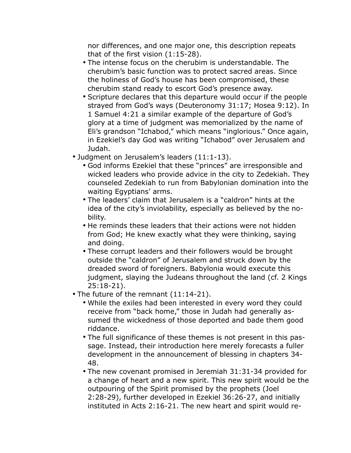nor differences, and one major one, this description repeats that of the first vision (1:15-28).

- The intense focus on the cherubim is understandable. The cherubim's basic function was to protect sacred areas. Since the holiness of God's house has been compromised, these cherubim stand ready to escort God's presence away.
- Scripture declares that this departure would occur if the people strayed from God's ways (Deuteronomy 31:17; Hosea 9:12). In 1 Samuel 4:21 a similar example of the departure of God's glory at a time of judgment was memorialized by the name of Eli's grandson "Ichabod," which means "inglorious." Once again, in Ezekiel's day God was writing "Ichabod" over Jerusalem and Judah.
- Judgment on Jerusalem's leaders (11:1-13).
	- God informs Ezekiel that these "princes" are irresponsible and wicked leaders who provide advice in the city to Zedekiah. They counseled Zedekiah to run from Babylonian domination into the waiting Egyptians' arms.
	- The leaders' claim that Jerusalem is a "caldron" hints at the idea of the city's inviolability, especially as believed by the nobility.
	- He reminds these leaders that their actions were not hidden from God; He knew exactly what they were thinking, saying and doing.
	- These corrupt leaders and their followers would be brought outside the "caldron" of Jerusalem and struck down by the dreaded sword of foreigners. Babylonia would execute this judgment, slaying the Judeans throughout the land (cf. 2 Kings 25:18-21).
- The future of the remnant (11:14-21).
	- While the exiles had been interested in every word they could receive from "back home," those in Judah had generally assumed the wickedness of those deported and bade them good riddance.
	- The full significance of these themes is not present in this passage. Instead, their introduction here merely forecasts a fuller development in the announcement of blessing in chapters 34- 48.
	- The new covenant promised in Jeremiah 31:31-34 provided for a change of heart and a new spirit. This new spirit would be the outpouring of the Spirit promised by the prophets (Joel 2:28-29), further developed in Ezekiel 36:26-27, and initially instituted in Acts 2:16-21. The new heart and spirit would re-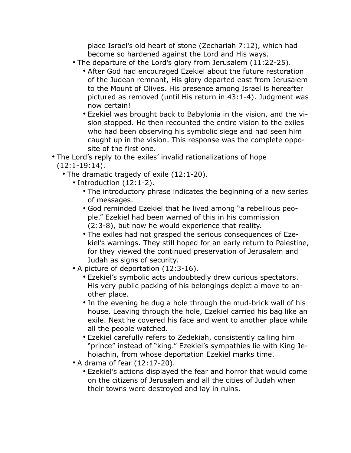place Israel's old heart of stone (Zechariah 7:12), which had become so hardened against the Lord and His ways.

- The departure of the Lord's glory from Jerusalem (11:22-25).
	- After God had encouraged Ezekiel about the future restoration of the Judean remnant, His glory departed east from Jerusalem to the Mount of Olives. His presence among Israel is hereafter pictured as removed (until His return in 43:1-4). Judgment was now certain!
	- Ezekiel was brought back to Babylonia in the vision, and the vision stopped. He then recounted the entire vision to the exiles who had been observing his symbolic siege and had seen him caught up in the vision. This response was the complete opposite of the first one.
- The Lord's reply to the exiles' invalid rationalizations of hope (12:1-19:14).
	- The dramatic tragedy of exile (12:1-20).
		- Introduction (12:1-2).
			- The introductory phrase indicates the beginning of a new series of messages.
			- God reminded Ezekiel that he lived among "a rebellious people." Ezekiel had been warned of this in his commission (2:3-8), but now he would experience that reality.
			- The exiles had not grasped the serious consequences of Ezekiel's warnings. They still hoped for an early return to Palestine, for they viewed the continued preservation of Jerusalem and Judah as signs of security.
		- A picture of deportation (12:3-16).
			- Ezekiel's symbolic acts undoubtedly drew curious spectators. His very public packing of his belongings depict a move to another place.
			- In the evening he dug a hole through the mud-brick wall of his house. Leaving through the hole, Ezekiel carried his bag like an exile. Next he covered his face and went to another place while all the people watched.
			- Ezekiel carefully refers to Zedekiah, consistently calling him "prince" instead of "king." Ezekiel's sympathies lie with King Jehoiachin, from whose deportation Ezekiel marks time.
		- A drama of fear (12:17-20).
			- Ezekiel's actions displayed the fear and horror that would come on the citizens of Jerusalem and all the cities of Judah when their towns were destroyed and lay in ruins.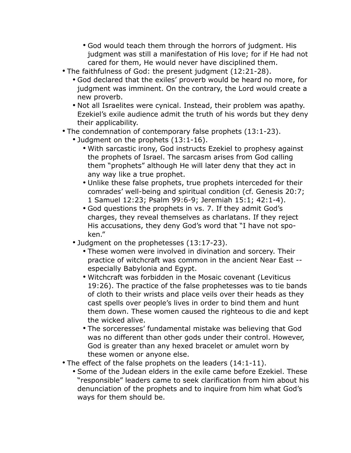- God would teach them through the horrors of judgment. His judgment was still a manifestation of His love; for if He had not cared for them, He would never have disciplined them.
- The faithfulness of God: the present judgment (12:21-28).
	- God declared that the exiles' proverb would be heard no more, for judgment was imminent. On the contrary, the Lord would create a new proverb.
	- Not all Israelites were cynical. Instead, their problem was apathy. Ezekiel's exile audience admit the truth of his words but they deny their applicability.
- The condemnation of contemporary false prophets (13:1-23).
	- Judgment on the prophets (13:1-16).
		- With sarcastic irony, God instructs Ezekiel to prophesy against the prophets of Israel. The sarcasm arises from God calling them "prophets" although He will later deny that they act in any way like a true prophet.
		- Unlike these false prophets, true prophets interceded for their comrades' well-being and spiritual condition (cf. Genesis 20:7; 1 Samuel 12:23; Psalm 99:6-9; Jeremiah 15:1; 42:1-4).
		- God questions the prophets in vs. 7. If they admit God's charges, they reveal themselves as charlatans. If they reject His accusations, they deny God's word that "I have not spoken."
	- Judgment on the prophetesses (13:17-23).
		- These women were involved in divination and sorcery. Their practice of witchcraft was common in the ancient Near East - especially Babylonia and Egypt.
		- Witchcraft was forbidden in the Mosaic covenant (Leviticus 19:26). The practice of the false prophetesses was to tie bands of cloth to their wrists and place veils over their heads as they cast spells over people's lives in order to bind them and hunt them down. These women caused the righteous to die and kept the wicked alive.
		- The sorceresses' fundamental mistake was believing that God was no different than other gods under their control. However, God is greater than any hexed bracelet or amulet worn by these women or anyone else.
- The effect of the false prophets on the leaders (14:1-11).
	- Some of the Judean elders in the exile came before Ezekiel. These "responsible" leaders came to seek clarification from him about his denunciation of the prophets and to inquire from him what God's ways for them should be.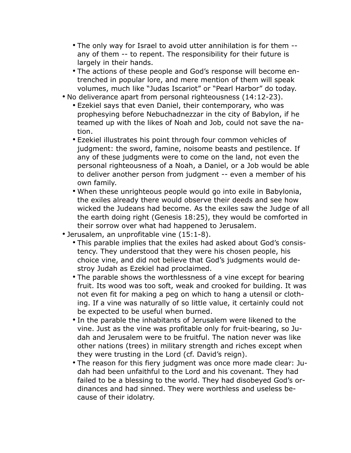- The only way for Israel to avoid utter annihilation is for them any of them -- to repent. The responsibility for their future is largely in their hands.
- The actions of these people and God's response will become entrenched in popular lore, and mere mention of them will speak volumes, much like "Judas Iscariot" or "Pearl Harbor" do today.
- No deliverance apart from personal righteousness (14:12-23).
	- Ezekiel says that even Daniel, their contemporary, who was prophesying before Nebuchadnezzar in the city of Babylon, if he teamed up with the likes of Noah and Job, could not save the nation.
	- Ezekiel illustrates his point through four common vehicles of judgment: the sword, famine, noisome beasts and pestilence. If any of these judgments were to come on the land, not even the personal righteousness of a Noah, a Daniel, or a Job would be able to deliver another person from judgment -- even a member of his own family.
	- When these unrighteous people would go into exile in Babylonia, the exiles already there would observe their deeds and see how wicked the Judeans had become. As the exiles saw the Judge of all the earth doing right (Genesis 18:25), they would be comforted in their sorrow over what had happened to Jerusalem.
- Jerusalem, an unprofitable vine (15:1-8).
	- This parable implies that the exiles had asked about God's consistency. They understood that they were his chosen people, his choice vine, and did not believe that God's judgments would destroy Judah as Ezekiel had proclaimed.
	- The parable shows the worthlessness of a vine except for bearing fruit. Its wood was too soft, weak and crooked for building. It was not even fit for making a peg on which to hang a utensil or clothing. If a vine was naturally of so little value, it certainly could not be expected to be useful when burned.
	- In the parable the inhabitants of Jerusalem were likened to the vine. Just as the vine was profitable only for fruit-bearing, so Judah and Jerusalem were to be fruitful. The nation never was like other nations (trees) in military strength and riches except when they were trusting in the Lord (cf. David's reign).
	- The reason for this fiery judgment was once more made clear: Judah had been unfaithful to the Lord and his covenant. They had failed to be a blessing to the world. They had disobeyed God's ordinances and had sinned. They were worthless and useless because of their idolatry.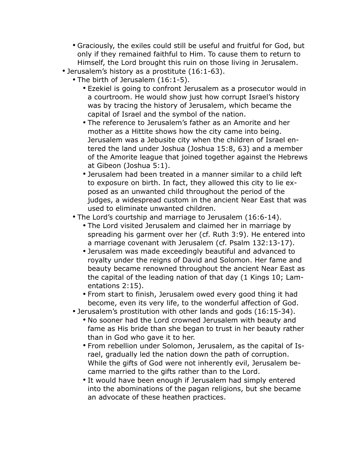- Graciously, the exiles could still be useful and fruitful for God, but only if they remained faithful to Him. To cause them to return to Himself, the Lord brought this ruin on those living in Jerusalem.
- Jerusalem's history as a prostitute (16:1-63).
	- The birth of Jerusalem (16:1-5).
		- Ezekiel is going to confront Jerusalem as a prosecutor would in a courtroom. He would show just how corrupt Israel's history was by tracing the history of Jerusalem, which became the capital of Israel and the symbol of the nation.
		- The reference to Jerusalem's father as an Amorite and her mother as a Hittite shows how the city came into being. Jerusalem was a Jebusite city when the children of Israel entered the land under Joshua (Joshua 15:8, 63) and a member of the Amorite league that joined together against the Hebrews at Gibeon (Joshua 5:1).
		- Jerusalem had been treated in a manner similar to a child left to exposure on birth. In fact, they allowed this city to lie exposed as an unwanted child throughout the period of the judges, a widespread custom in the ancient Near East that was used to eliminate unwanted children.
	- The Lord's courtship and marriage to Jerusalem (16:6-14).
		- The Lord visited Jerusalem and claimed her in marriage by spreading his garment over her (cf. Ruth 3:9). He entered into a marriage covenant with Jerusalem (cf. Psalm 132:13-17).
		- Jerusalem was made exceedingly beautiful and advanced to royalty under the reigns of David and Solomon. Her fame and beauty became renowned throughout the ancient Near East as the capital of the leading nation of that day (1 Kings 10; Lamentations 2:15).
		- From start to finish, Jerusalem owed every good thing it had become, even its very life, to the wonderful affection of God.
	- Jerusalem's prostitution with other lands and gods (16:15-34).
		- No sooner had the Lord crowned Jerusalem with beauty and fame as His bride than she began to trust in her beauty rather than in God who gave it to her.
		- From rebellion under Solomon, Jerusalem, as the capital of Israel, gradually led the nation down the path of corruption. While the gifts of God were not inherently evil, Jerusalem became married to the gifts rather than to the Lord.
		- It would have been enough if Jerusalem had simply entered into the abominations of the pagan religions, but she became an advocate of these heathen practices.